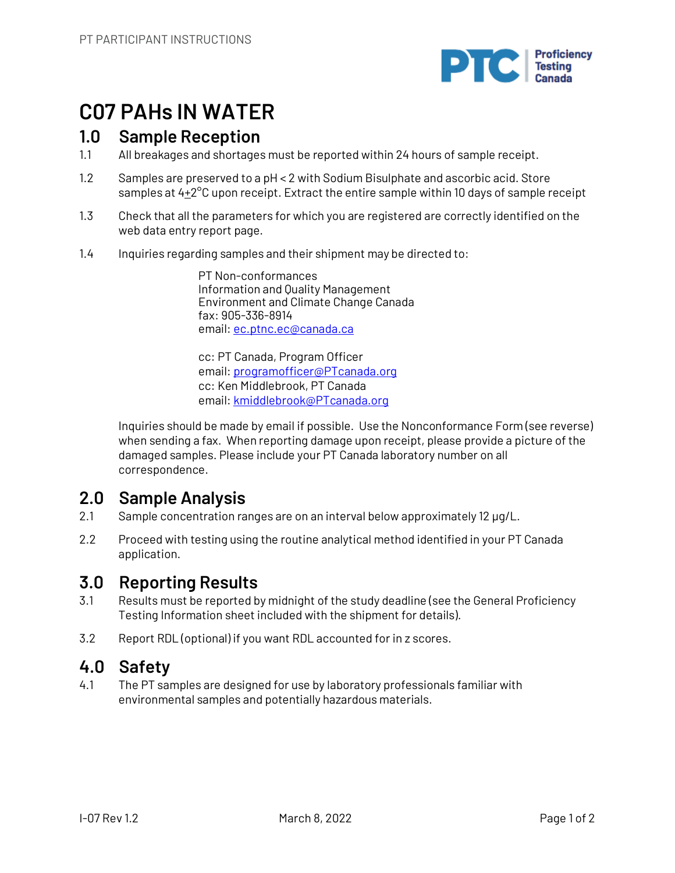

# **C07 PAHs IN WATER**

# **1.0 Sample Reception**

- 1.1 All breakages and shortages must be reported within 24 hours of sample receipt.
- 1.2 Samples are preserved to a pH < 2 with Sodium Bisulphate and ascorbic acid. Store samples at  $4+2^{\circ}$ C upon receipt. Extract the entire sample within 10 days of sample receipt
- 1.3 Check that all the parameters for which you are registered are correctly identified on the web data entry report page.
- 1.4 Inquiries regarding samples and their shipment may be directed to:

PT Non-conformances Information and Quality Management Environment and Climate Change Canada fax: 905-336-8914 email: ec.ptnc.ec@canada.ca

cc: PT Canada, Program Officer email: programofficer@PTcanada.org cc: Ken Middlebrook, PT Canada email: kmiddlebrook@PTcanada.org

Inquiries should be made by email if possible. Use the Nonconformance Form (see reverse) when sending a fax. When reporting damage upon receipt, please provide a picture of the damaged samples. Please include your PT Canada laboratory number on all correspondence.

# **2.0 Sample Analysis**

- 2.1 Sample concentration ranges are on an interval below approximately 12 µg/L.
- 2.2 Proceed with testing using the routine analytical method identified in your PT Canada application.

# **3.0 Reporting Results**

- 3.1 Results must be reported by midnight of the study deadline (see the General Proficiency Testing Information sheet included with the shipment for details).
- 3.2 Report RDL (optional) if you want RDL accounted for in z scores.

## **4.0 Safety**

4.1 The PT samples are designed for use by laboratory professionals familiar with environmental samples and potentially hazardous materials.